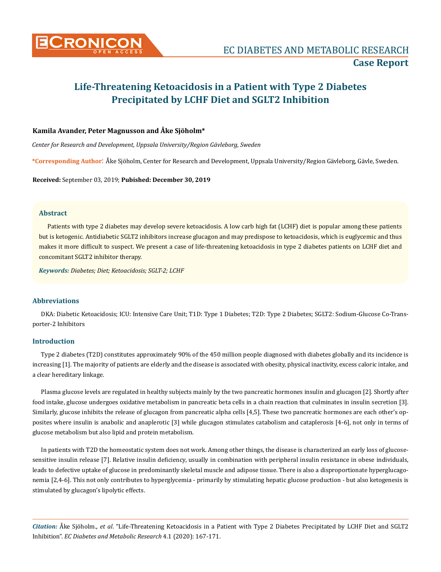

# **Life-Threatening Ketoacidosis in a Patient with Type 2 Diabetes Precipitated by LCHF Diet and SGLT2 Inhibition**

# **Kamila Avander, Peter Magnusson and Åke Sjöholm\***

*Center for Research and Development, Uppsala University/Region Gävleborg, Sweden* 

**\*Corresponding Author**: Åke Sjöholm, Center for Research and Development, Uppsala University/Region Gävleborg, Gävle, Sweden.

**Received:** September 03, 2019; **Pubished: December 30, 2019**

## **Abstract**

Patients with type 2 diabetes may develop severe ketoacidosis. A low carb high fat (LCHF) diet is popular among these patients but is ketogenic. Antidiabetic SGLT2 inhibitors increase glucagon and may predispose to ketoacidosis, which is euglycemic and thus makes it more difficult to suspect. We present a case of life-threatening ketoacidosis in type 2 diabetes patients on LCHF diet and concomitant SGLT2 inhibitor therapy.

*Keywords: Diabetes; Diet; Ketoacidosis; SGLT-2; LCHF*

## **Abbreviations**

DKA: Diabetic Ketoacidosis; ICU: Intensive Care Unit; T1D: Type 1 Diabetes; T2D: Type 2 Diabetes; SGLT2: Sodium-Glucose Co-Transporter-2 Inhibitors

## **Introduction**

Type 2 diabetes (T2D) constitutes approximately 90% of the 450 million people diagnosed with diabetes globally and its incidence is increasing [1]. The majority of patients are elderly and the disease is associated with obesity, physical inactivity, excess caloric intake, and a clear hereditary linkage.

Plasma glucose levels are regulated in healthy subjects mainly by the two pancreatic hormones insulin and glucagon [2]. Shortly after food intake, glucose undergoes oxidative metabolism in pancreatic beta cells in a chain reaction that culminates in insulin secretion [3]. Similarly, glucose inhibits the release of glucagon from pancreatic alpha cells [4,5]. These two pancreatic hormones are each other's opposites where insulin is anabolic and anaplerotic [3] while glucagon stimulates catabolism and cataplerosis [4-6], not only in terms of glucose metabolism but also lipid and protein metabolism.

In patients with T2D the homeostatic system does not work. Among other things, the disease is characterized an early loss of glucosesensitive insulin release [7]. Relative insulin deficiency, usually in combination with peripheral insulin resistance in obese individuals, leads to defective uptake of glucose in predominantly skeletal muscle and adipose tissue. There is also a disproportionate hyperglucagonemia [2,4-6]. This not only contributes to hyperglycemia - primarily by stimulating hepatic glucose production - but also ketogenesis is stimulated by glucagon's lipolytic effects.

*Citation:* Åke Sjöholm., *et al*. "Life-Threatening Ketoacidosis in a Patient with Type 2 Diabetes Precipitated by LCHF Diet and SGLT2 Inhibition". *EC Diabetes and Metabolic Research* 4.1 (2020): 167-171.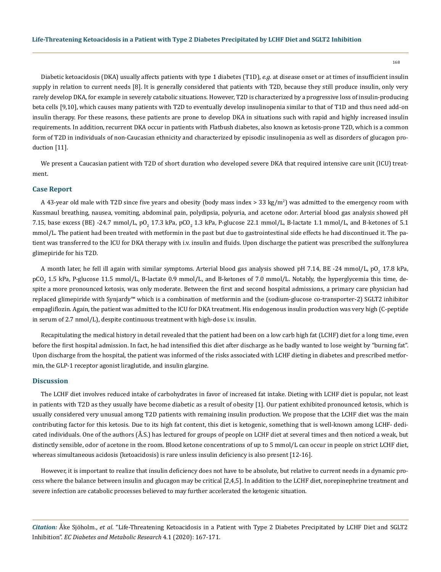Diabetic ketoacidosis (DKA) usually affects patients with type 1 diabetes (T1D), *e.g.* at disease onset or at times of insufficient insulin supply in relation to current needs [8]. It is generally considered that patients with T2D, because they still produce insulin, only very rarely develop DKA, for example in severely catabolic situations. However, T2D is characterized by a progressive loss of insulin-producing beta cells [9,10], which causes many patients with T2D to eventually develop insulinopenia similar to that of T1D and thus need add-on insulin therapy. For these reasons, these patients are prone to develop DKA in situations such with rapid and highly increased insulin requirements. In addition, recurrent DKA occur in patients with Flatbush diabetes, also known as ketosis-prone T2D, which is a common form of T2D in individuals of non-Caucasian ethnicity and characterized by episodic insulinopenia as well as disorders of glucagon production [11].

We present a Caucasian patient with T2D of short duration who developed severe DKA that required intensive care unit (ICU) treatment.

### **Case Report**

A 43-year old male with T2D since five years and obesity (body mass index > 33 kg/m<sup>2</sup>) was admitted to the emergency room with Kussmaul breathing, nausea, vomiting, abdominal pain, polydipsia, polyuria, and acetone odor. Arterial blood gas analysis showed pH 7.15, base excess (BE) -24.7 mmol/L, pO<sub>2</sub> 17.3 kPa, pCO<sub>2</sub> 1.3 kPa, P-glucose 22.1 mmol/L, B-lactate 1.1 mmol/L, and B-ketones of 5.1 mmol/L. The patient had been treated with metformin in the past but due to gastrointestinal side effects he had discontinued it. The patient was transferred to the ICU for DKA therapy with i.v. insulin and fluids. Upon discharge the patient was prescribed the sulfonylurea glimepiride for his T2D.

A month later, he fell ill again with similar symptoms. Arterial blood gas analysis showed pH 7.14, BE -24 mmol/L, pO<sub>2</sub> 17.8 kPa, pCO<sub>2</sub> 1.5 kPa, P-glucose 11.5 mmol/L, B-lactate 0.9 mmol/L, and B-ketones of 7.0 mmol/L. Notably, the hyperglycemia this time, despite a more pronounced ketosis, was only moderate. Between the first and second hospital admissions, a primary care physician had replaced glimepiride with Synjardy™ which is a combination of metformin and the (sodium-glucose co-transporter-2) SGLT2 inhibitor empagliflozin. Again, the patient was admitted to the ICU for DKA treatment. His endogenous insulin production was very high (C-peptide in serum of 2.7 nmol/L), despite continuous treatment with high-dose i.v. insulin.

Recapitulating the medical history in detail revealed that the patient had been on a low carb high fat (LCHF) diet for a long time, even before the first hospital admission. In fact, he had intensified this diet after discharge as he badly wanted to lose weight by "burning fat". Upon discharge from the hospital, the patient was informed of the risks associated with LCHF dieting in diabetes and prescribed metformin, the GLP-1 receptor agonist liraglutide, and insulin glargine.

#### **Discussion**

The LCHF diet involves reduced intake of carbohydrates in favor of increased fat intake. Dieting with LCHF diet is popular, not least in patients with T2D as they usually have become diabetic as a result of obesity [1]. Our patient exhibited pronounced ketosis, which is usually considered very unusual among T2D patients with remaining insulin production. We propose that the LCHF diet was the main contributing factor for this ketosis. Due to its high fat content, this diet is ketogenic, something that is well-known among LCHF- dedicated individuals. One of the authors (Å.S.) has lectured for groups of people on LCHF diet at several times and then noticed a weak, but distinctly sensible, odor of acetone in the room. Blood ketone concentrations of up to 5 mmol/L can occur in people on strict LCHF diet, whereas simultaneous acidosis (ketoacidosis) is rare unless insulin deficiency is also present [12-16].

However, it is important to realize that insulin deficiency does not have to be absolute, but relative to current needs in a dynamic process where the balance between insulin and glucagon may be critical [2,4,5]. In addition to the LCHF diet, norepinephrine treatment and severe infection are catabolic processes believed to may further accelerated the ketogenic situation.

*Citation:* Åke Sjöholm., *et al*. "Life-Threatening Ketoacidosis in a Patient with Type 2 Diabetes Precipitated by LCHF Diet and SGLT2 Inhibition". *EC Diabetes and Metabolic Research* 4.1 (2020): 167-171.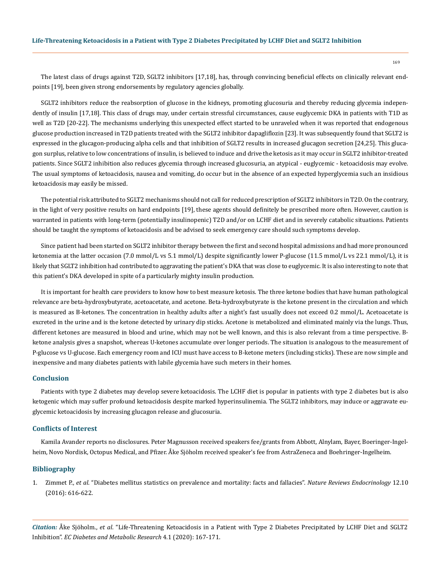The latest class of drugs against T2D, SGLT2 inhibitors [17,18], has, through convincing beneficial effects on clinically relevant endpoints [19], been given strong endorsements by regulatory agencies globally.

SGLT2 inhibitors reduce the reabsorption of glucose in the kidneys, promoting glucosuria and thereby reducing glycemia independently of insulin [17,18]. This class of drugs may, under certain stressful circumstances, cause euglycemic DKA in patients with T1D as well as T2D [20-22]. The mechanisms underlying this unexpected effect started to be unraveled when it was reported that endogenous glucose production increased in T2D patients treated with the SGLT2 inhibitor dapagliflozin [23]. It was subsequently found that SGLT2 is expressed in the glucagon-producing alpha cells and that inhibition of SGLT2 results in increased glucagon secretion [24,25]. This glucagon surplus, relative to low concentrations of insulin, is believed to induce and drive the ketosis as it may occur in SGLT2 inhibitor-treated patients. Since SGLT2 inhibition also reduces glycemia through increased glucosuria, an atypical - euglycemic - ketoacidosis may evolve. The usual symptoms of ketoacidosis, nausea and vomiting, do occur but in the absence of an expected hyperglycemia such an insidious ketoacidosis may easily be missed.

The potential risk attributed to SGLT2 mechanisms should not call for reduced prescription of SGLT2 inhibitors in T2D. On the contrary, in the light of very positive results on hard endpoints [19], these agents should definitely be prescribed more often. However, caution is warranted in patients with long-term (potentially insulinopenic) T2D and/or on LCHF diet and in severely catabolic situations. Patients should be taught the symptoms of ketoacidosis and be advised to seek emergency care should such symptoms develop.

Since patient had been started on SGLT2 inhibitor therapy between the first and second hospital admissions and had more pronounced ketonemia at the latter occasion (7.0 mmol/L vs 5.1 mmol/L) despite significantly lower P-glucose (11.5 mmol/L vs 22.1 mmol/L), it is likely that SGLT2 inhibition had contributed to aggravating the patient's DKA that was close to euglycemic. It is also interesting to note that this patient's DKA developed in spite of a particularly mighty insulin production.

It is important for health care providers to know how to best measure ketosis. The three ketone bodies that have human pathological relevance are beta-hydroxybutyrate, acetoacetate, and acetone. Beta-hydroxybutyrate is the ketone present in the circulation and which is measured as B-ketones. The concentration in healthy adults after a night's fast usually does not exceed 0.2 mmol/L. Acetoacetate is excreted in the urine and is the ketone detected by urinary dip sticks. Acetone is metabolized and eliminated mainly via the lungs. Thus, different ketones are measured in blood and urine, which may not be well known, and this is also relevant from a time perspective. Bketone analysis gives a snapshot, whereas U-ketones accumulate over longer periods. The situation is analogous to the measurement of P-glucose vs U-glucose. Each emergency room and ICU must have access to B-ketone meters (including sticks). These are now simple and inexpensive and many diabetes patients with labile glycemia have such meters in their homes.

#### **Conclusion**

Patients with type 2 diabetes may develop severe ketoacidosis. The LCHF diet is popular in patients with type 2 diabetes but is also ketogenic which may suffer profound ketoacidosis despite marked hyperinsulinemia. The SGLT2 inhibitors, may induce or aggravate euglycemic ketoacidosis by increasing glucagon release and glucosuria.

### **Conflicts of Interest**

Kamila Avander reports no disclosures. Peter Magnusson received speakers fee/grants from Abbott, Alnylam, Bayer, Boeringer-Ingelheim, Novo Nordisk, Octopus Medical, and Pfizer. Åke Sjöholm received speaker's fee from AstraZeneca and Boehringer-Ingelheim.

#### **Bibliography**

1. Zimmet P., *et al*[. "Diabetes mellitus statistics on prevalence and mortality: facts and fallacies".](https://www.ncbi.nlm.nih.gov/pubmed/27388988) *Nature Reviews Endocrinology* 12.10 [\(2016\): 616-622.](https://www.ncbi.nlm.nih.gov/pubmed/27388988)

*Citation:* Åke Sjöholm., *et al*. "Life-Threatening Ketoacidosis in a Patient with Type 2 Diabetes Precipitated by LCHF Diet and SGLT2 Inhibition". *EC Diabetes and Metabolic Research* 4.1 (2020): 167-171.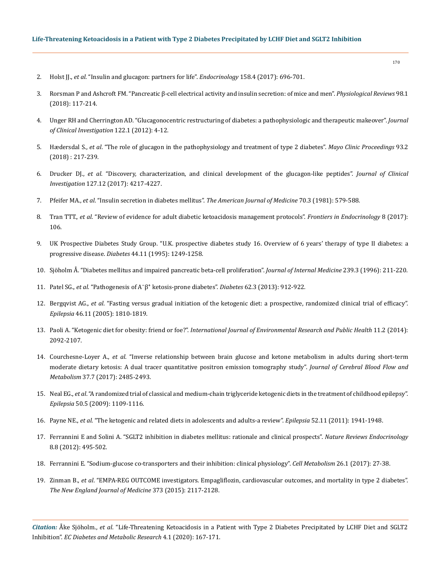- 2. Holst JJ., *et al*[. "Insulin and glucagon: partners for life".](file:///C:/Users/Mounika/Desktop/New%20folder/ecdmr/2017) *Endocrinology* 158.4 (2017): 696-701.
- 3. [Rorsman P and Ashcroft FM. "Pancreatic β-cell electrical activity and insulin secretion: of mice and men".](https://www.ncbi.nlm.nih.gov/pubmed/29212789) *Physiological Reviews* 98.1 [\(2018\): 117-214.](https://www.ncbi.nlm.nih.gov/pubmed/29212789)
- 4. [Unger RH and Cherrington AD. "Glucagonocentric restructuring of diabetes: a pathophysiologic and therapeutic makeover".](https://www.ncbi.nlm.nih.gov/pubmed/22214853) *Journal [of Clinical Investigation](https://www.ncbi.nlm.nih.gov/pubmed/22214853)* 122.1 (2012): 4-12.
- 5. Hædersdal S., *et al*[. "The role of glucagon in the pathophysiology and treatment of type 2 diabetes".](https://www.ncbi.nlm.nih.gov/pubmed/29307553) *Mayo Clinic Proceedings* 93.2 [\(2018\) : 217-239.](https://www.ncbi.nlm.nih.gov/pubmed/29307553)
- 6. Drucker DJ., *et al*[. "Discovery, characterization, and clinical development of the glucagon-like peptides".](https://www.ncbi.nlm.nih.gov/pubmed/29202475) *Journal of Clinical Investigation* [127.12 \(2017\): 4217-4227.](https://www.ncbi.nlm.nih.gov/pubmed/29202475)
- 7. Pfeifer MA., *et al*. "Insulin secretion in diabetes mellitus". *[The American Journal of Medicine](https://www.ncbi.nlm.nih.gov/pubmed/7011013)* 70.3 (1981): 579-588.
- 8. Tran TTT., *et al*[. "Review of evidence for adult diabetic ketoacidosis management protocols".](https://www.ncbi.nlm.nih.gov/pmc/articles/PMC5468371/) *Frontiers in Endocrinology* 8 (2017): [106.](https://www.ncbi.nlm.nih.gov/pmc/articles/PMC5468371/)
- 9. [UK Prospective Diabetes Study Group. "U.K. prospective diabetes study 16. Overview of 6 years' therapy of type II diabetes: a](https://www.ncbi.nlm.nih.gov/pubmed/7589820)  progressive disease. *Diabetes* [44.11 \(1995\): 1249-1258.](https://www.ncbi.nlm.nih.gov/pubmed/7589820)
- 10. [Sjöholm Å. "Diabetes mellitus and impaired pancreatic beta-cell proliferation".](https://www.ncbi.nlm.nih.gov/pubmed/8772619) *Journal of Internal Medicine* 239.3 (1996): 211-220.
- 11. Patel SG., *et al*[. "Pathogenesis of A⁻β⁺ ketosis-prone diabetes".](https://www.ncbi.nlm.nih.gov/pubmed/23160531) *Diabetes* 62.3 (2013): 912-922.
- 12. Bergqvist AG., *et al*[. "Fasting versus gradual initiation of the ketogenic diet: a prospective, randomized clinical trial of efficacy".](https://www.ncbi.nlm.nih.gov/pubmed/16302862)  *Epilepsia* [46.11 \(2005\): 1810-1819.](https://www.ncbi.nlm.nih.gov/pubmed/16302862)
- 13. Paoli A. "Ketogenic diet for obesity: friend or foe?". *[International Journal of Environmental Research and Public Health](https://www.ncbi.nlm.nih.gov/pmc/articles/PMC3945587/)* 11.2 (2014): [2092-2107.](https://www.ncbi.nlm.nih.gov/pmc/articles/PMC3945587/)
- 14. Courchesne-Loyer A., *et al*[. "Inverse relationship between brain glucose and ketone metabolism in adults during short-term](https://www.ncbi.nlm.nih.gov/pubmed/27629100)  [moderate dietary ketosis: A dual tracer quantitative positron emission tomography study".](https://www.ncbi.nlm.nih.gov/pubmed/27629100) *Journal of Cerebral Blood Flow and Metabolism* [37.7 \(2017\): 2485-2493.](https://www.ncbi.nlm.nih.gov/pubmed/27629100)
- 15. Neal EG., *et al*[. "A randomized trial of classical and medium-chain triglyceride ketogenic diets in the treatment of childhood epilepsy".](https://www.ncbi.nlm.nih.gov/pubmed/19054400)  *Epilepsia* [50.5 \(2009\): 1109-1116.](https://www.ncbi.nlm.nih.gov/pubmed/19054400)
- 16. Payne NE., *et al*[. "The ketogenic and related diets in adolescents and adults-a review".](https://www.ncbi.nlm.nih.gov/pubmed/22004525) *Epilepsia* 52.11 (2011): 1941-1948.
- 17. [Ferrannini E and Solini A. "SGLT2 inhibition in diabetes mellitus: rationale and clinical prospects".](https://www.ncbi.nlm.nih.gov/pubmed/22310849) *Nature Reviews Endocrinology* [8.8 \(2012\): 495-502.](https://www.ncbi.nlm.nih.gov/pubmed/22310849)
- 18. [Ferrannini E. "Sodium-glucose co-transporters and their inhibition: clinical physiology".](https://www.ncbi.nlm.nih.gov/pubmed/28506519) *Cell Metabolism* 26.1 (2017): 27-38.
- 19. Zinman B., *et al*[. "EMPA-REG OUTCOME investigators. Empagliflozin, cardiovascular outcomes, and mortality in type 2 diabetes".](https://www.nejm.org/doi/full/10.1056/NEJMoa1504720)  *[The New England Journal of Medicine](https://www.nejm.org/doi/full/10.1056/NEJMoa1504720)* 373 (2015): 2117-2128.

*Citation:* Åke Sjöholm., *et al*. "Life-Threatening Ketoacidosis in a Patient with Type 2 Diabetes Precipitated by LCHF Diet and SGLT2 Inhibition". *EC Diabetes and Metabolic Research* 4.1 (2020): 167-171.